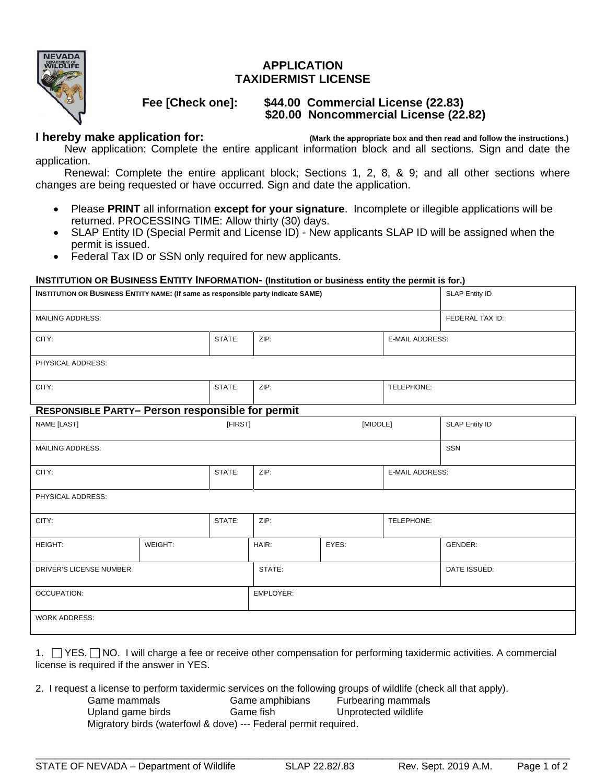

## **APPLICATION TAXIDERMIST LICENSE**

# **Fee [Check one]: \$44.00 Commercial License (22.83) \$20.00 Noncommercial License (22.82)**

**I hereby make application for:** (Mark the appropriate box and then read and follow the instructions.)

 New application: Complete the entire applicant information block and all sections. Sign and date the application.

 Renewal: Complete the entire applicant block; Sections 1, 2, 8, & 9; and all other sections where changes are being requested or have occurred. Sign and date the application.

- Please **PRINT** all information **except for your signature**. Incomplete or illegible applications will be returned. PROCESSING TIME: Allow thirty (30) days.
- SLAP Entity ID (Special Permit and License ID) New applicants SLAP ID will be assigned when the permit is issued.
- Federal Tax ID or SSN only required for new applicants.

#### **INSTITUTION OR BUSINESS ENTITY INFORMATION- (Institution or business entity the permit is for.)**

| INSTITUTION OR BUSINESS ENTITY NAME: (If same as responsible party indicate SAME)<br><b>SLAP Entity ID</b> |                |           |                        |                       |  |
|------------------------------------------------------------------------------------------------------------|----------------|-----------|------------------------|-----------------------|--|
|                                                                                                            |                |           |                        | FEDERAL TAX ID:       |  |
| STATE:                                                                                                     | ZIP:           |           | <b>E-MAIL ADDRESS:</b> |                       |  |
| PHYSICAL ADDRESS:                                                                                          |                |           |                        |                       |  |
| STATE:                                                                                                     | ZIP:           |           | TELEPHONE:             |                       |  |
| <b>RESPONSIBLE PARTY- Person responsible for permit</b>                                                    |                |           |                        |                       |  |
|                                                                                                            |                |           |                        | <b>SLAP Entity ID</b> |  |
|                                                                                                            |                |           |                        | <b>SSN</b>            |  |
| STATE:                                                                                                     | ZIP:           |           | E-MAIL ADDRESS:        |                       |  |
| PHYSICAL ADDRESS:                                                                                          |                |           |                        |                       |  |
| STATE:                                                                                                     | ZIP:           |           | TELEPHONE:             |                       |  |
|                                                                                                            | EYES:<br>HAIR: |           |                        | GENDER:               |  |
| DRIVER'S LICENSE NUMBER                                                                                    |                | STATE:    |                        | DATE ISSUED:          |  |
| <b>OCCUPATION:</b>                                                                                         |                | EMPLOYER: |                        |                       |  |
| <b>WORK ADDRESS:</b>                                                                                       |                |           |                        |                       |  |
|                                                                                                            |                | [FIRST]   |                        | [MIDDLE]              |  |

1. YES. NO. I will charge a fee or receive other compensation for performing taxidermic activities. A commercial license is required if the answer in YES.

- 2. I request a license to perform taxidermic services on the following groups of wildlife (check all that apply).
	- Game mammals **Game amphibians** Furbearing mammals Upland game birds Game fish Unprotected wildlife Migratory birds (waterfowl & dove) --- Federal permit required.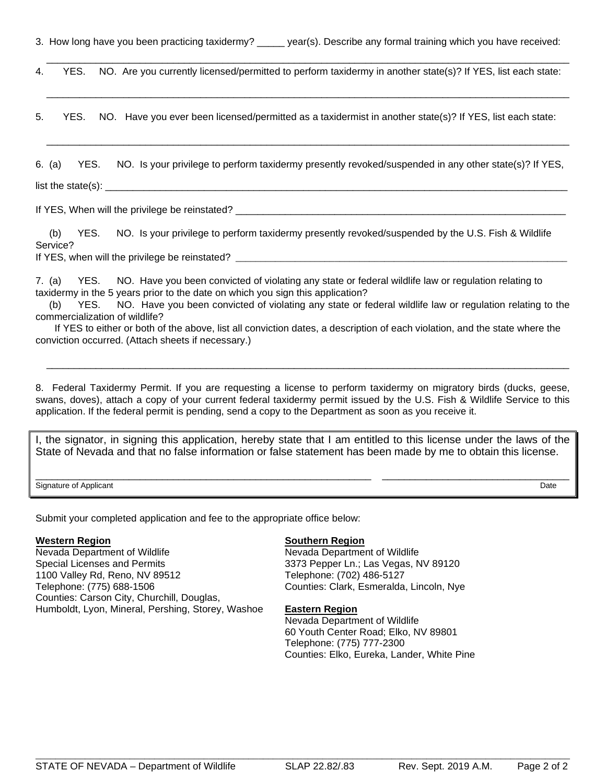3. How long have you been practicing taxidermy? year(s). Describe any formal training which you have received:

4. YES. NO. Are you currently licensed/permitted to perform taxidermy in another state(s)? If YES, list each state:

 $\overline{\phantom{a}}$  ,  $\overline{\phantom{a}}$  ,  $\overline{\phantom{a}}$  ,  $\overline{\phantom{a}}$  ,  $\overline{\phantom{a}}$  ,  $\overline{\phantom{a}}$  ,  $\overline{\phantom{a}}$  ,  $\overline{\phantom{a}}$  ,  $\overline{\phantom{a}}$  ,  $\overline{\phantom{a}}$  ,  $\overline{\phantom{a}}$  ,  $\overline{\phantom{a}}$  ,  $\overline{\phantom{a}}$  ,  $\overline{\phantom{a}}$  ,  $\overline{\phantom{a}}$  ,  $\overline{\phantom{a}}$ 

\_\_\_\_\_\_\_\_\_\_\_\_\_\_\_\_\_\_\_\_\_\_\_\_\_\_\_\_\_\_\_\_\_\_\_\_\_\_\_\_\_\_\_\_\_\_\_\_\_\_\_\_\_\_\_\_\_\_\_\_\_\_\_\_\_\_\_\_\_\_\_\_\_\_\_\_\_\_\_\_\_\_\_\_\_\_\_\_\_\_\_\_\_\_\_

5. YES. NO. Have you ever been licensed/permitted as a taxidermist in another state(s)? If YES, list each state:

6. (a) YES. NO. Is your privilege to perform taxidermy presently revoked/suspended in any other state(s)? If YES,

 $\overline{\phantom{a}}$  ,  $\overline{\phantom{a}}$  ,  $\overline{\phantom{a}}$  ,  $\overline{\phantom{a}}$  ,  $\overline{\phantom{a}}$  ,  $\overline{\phantom{a}}$  ,  $\overline{\phantom{a}}$  ,  $\overline{\phantom{a}}$  ,  $\overline{\phantom{a}}$  ,  $\overline{\phantom{a}}$  ,  $\overline{\phantom{a}}$  ,  $\overline{\phantom{a}}$  ,  $\overline{\phantom{a}}$  ,  $\overline{\phantom{a}}$  ,  $\overline{\phantom{a}}$  ,  $\overline{\phantom{a}}$ 

 $list the state(s): \n\frac{1}{s}$ 

If YES, When will the privilege be reinstated? \_\_\_\_\_\_\_\_\_\_\_\_\_\_\_\_\_\_\_\_\_\_\_\_\_\_\_\_\_\_\_\_\_

(b) YES. NO. Is your privilege to perform taxidermy presently revoked/suspended by the U.S. Fish & Wildlife Service?

If YES, when will the privilege be reinstated? \_\_\_\_\_\_\_\_\_\_\_\_\_\_\_\_\_\_\_\_\_\_\_\_\_\_\_\_\_\_\_\_\_

7. (a) YES. NO. Have you been convicted of violating any state or federal wildlife law or regulation relating to taxidermy in the 5 years prior to the date on which you sign this application?

(b) YES. NO. Have you been convicted of violating any state or federal wildlife law or regulation relating to the commercialization of wildlife?

 If YES to either or both of the above, list all conviction dates, a description of each violation, and the state where the conviction occurred. (Attach sheets if necessary.)

8. Federal Taxidermy Permit. If you are requesting a license to perform taxidermy on migratory birds (ducks, geese, swans, doves), attach a copy of your current federal taxidermy permit issued by the U.S. Fish & Wildlife Service to this application. If the federal permit is pending, send a copy to the Department as soon as you receive it.

 $\overline{\phantom{a}}$  ,  $\overline{\phantom{a}}$  ,  $\overline{\phantom{a}}$  ,  $\overline{\phantom{a}}$  ,  $\overline{\phantom{a}}$  ,  $\overline{\phantom{a}}$  ,  $\overline{\phantom{a}}$  ,  $\overline{\phantom{a}}$  ,  $\overline{\phantom{a}}$  ,  $\overline{\phantom{a}}$  ,  $\overline{\phantom{a}}$  ,  $\overline{\phantom{a}}$  ,  $\overline{\phantom{a}}$  ,  $\overline{\phantom{a}}$  ,  $\overline{\phantom{a}}$  ,  $\overline{\phantom{a}}$ 

I, the signator, in signing this application, hereby state that I am entitled to this license under the laws of the State of Nevada and that no false information or false statement has been made by me to obtain this license.

\_\_\_\_\_\_\_\_\_\_\_\_\_\_\_\_\_\_\_\_\_\_\_\_\_\_\_\_\_\_\_\_\_\_\_\_\_\_\_\_\_\_\_\_\_\_\_\_\_\_\_\_\_\_\_\_\_\_\_\_\_ \_\_\_\_\_\_\_\_\_\_\_\_\_\_\_\_\_\_\_\_\_\_\_\_\_\_\_\_\_\_\_\_\_\_ Signature of Applicant Date Date Contract Contract Contract Contract Contract Contract Contract Date Date

Submit your completed application and fee to the appropriate office below:

#### **Western Region**

Nevada Department of Wildlife Special Licenses and Permits 1100 Valley Rd, Reno, NV 89512 Telephone: (775) 688-1506 Counties: Carson City, Churchill, Douglas, Humboldt, Lyon, Mineral, Pershing, Storey, Washoe

#### **Southern Region**

Nevada Department of Wildlife 3373 Pepper Ln.; Las Vegas, NV 89120 Telephone: (702) 486-5127 Counties: Clark, Esmeralda, Lincoln, Nye

#### **Eastern Region**

Nevada Department of Wildlife 60 Youth Center Road; Elko, NV 89801 Telephone: (775) 777-2300 Counties: Elko, Eureka, Lander, White Pine